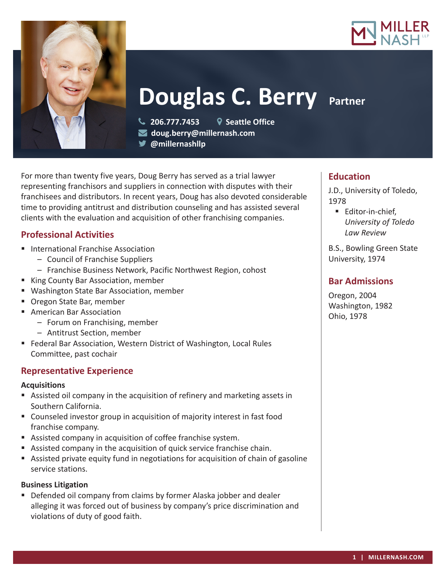



# **Douglas C. Berry Partner**

 **206.777.7453 Seattle Office doug.berry@millernash.com** 

**@millernashllp** 

For more than twenty five years, Doug Berry has served as a trial lawyer representing franchisors and suppliers in connection with disputes with their franchisees and distributors. In recent years, Doug has also devoted considerable time to providing antitrust and distribution counseling and has assisted several clients with the evaluation and acquisition of other franchising companies.

## **Professional Activities**

- International Franchise Association
	- Council of Franchise Suppliers
	- Franchise Business Network, Pacific Northwest Region, cohost
- King County Bar Association, member
- Washington State Bar Association, member
- Oregon State Bar, member
- American Bar Association
	- Forum on Franchising, member
	- Antitrust Section, member
- Federal Bar Association, Western District of Washington, Local Rules Committee, past cochair

#### **Representative Experience**

#### **Acquisitions**

- Assisted oil company in the acquisition of refinery and marketing assets in Southern California.
- Counseled investor group in acquisition of majority interest in fast food franchise company.
- Assisted company in acquisition of coffee franchise system.
- Assisted company in the acquisition of quick service franchise chain.
- Assisted private equity fund in negotiations for acquisition of chain of gasoline service stations.

## **Business Litigation**

**Defended oil company from claims by former Alaska jobber and dealer** alleging it was forced out of business by company's price discrimination and violations of duty of good faith.

### **Education**

J.D., University of Toledo, 1978

■ Editor-in-chief, *University of Toledo Law Review*

B.S., Bowling Green State University, 1974

## **Bar Admissions**

Oregon, 2004 Washington, 1982 Ohio, 1978